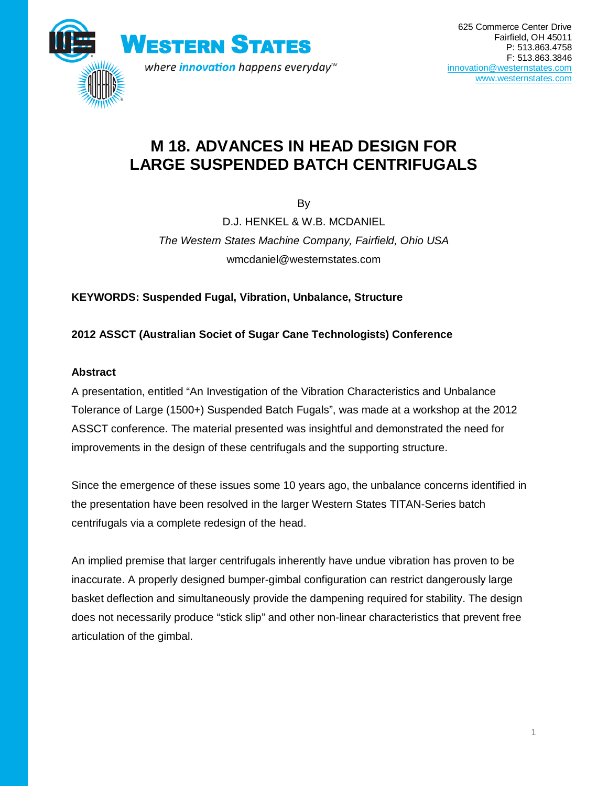

# **M 18. ADVANCES IN HEAD DESIGN FOR LARGE SUSPENDED BATCH CENTRIFUGALS**

By

D.J. HENKEL & W.B. MCDANIEL *The Western States Machine Company, Fairfield, Ohio USA* wmcdaniel@westernstates.com

**KEYWORDS: Suspended Fugal, Vibration, Unbalance, Structure** 

# **2012 ASSCT (Australian Societ of Sugar Cane Technologists) Conference**

# **Abstract**

A presentation, entitled "An Investigation of the Vibration Characteristics and Unbalance Tolerance of Large (1500+) Suspended Batch Fugals", was made at a workshop at the 2012 ASSCT conference. The material presented was insightful and demonstrated the need for improvements in the design of these centrifugals and the supporting structure.

Since the emergence of these issues some 10 years ago, the unbalance concerns identified in the presentation have been resolved in the larger Western States TITAN-Series batch centrifugals via a complete redesign of the head.

An implied premise that larger centrifugals inherently have undue vibration has proven to be inaccurate. A properly designed bumper-gimbal configuration can restrict dangerously large basket deflection and simultaneously provide the dampening required for stability. The design does not necessarily produce "stick slip" and other non-linear characteristics that prevent free articulation of the gimbal.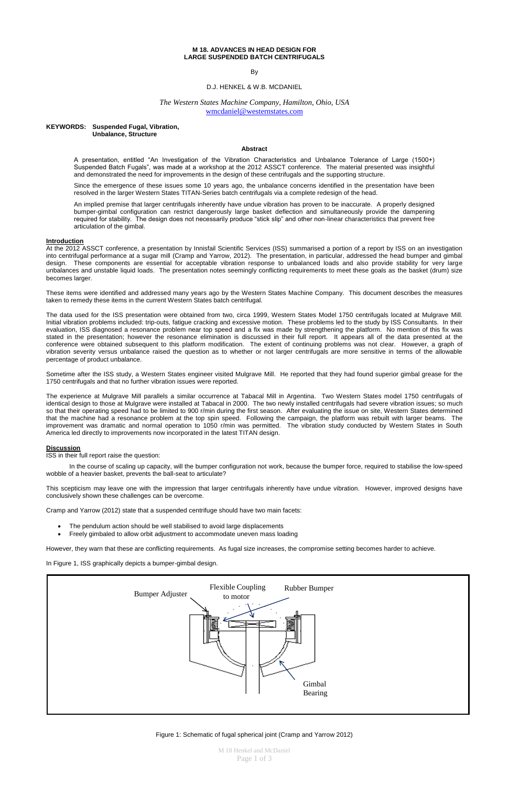M 18 Henkel and McDaniel Page 1 of 3

## **M 18. ADVANCES IN HEAD DESIGN FOR LARGE SUSPENDED BATCH CENTRIFUGALS**

By

### D.J. HENKEL & W.B. MCDANIEL

# *The Western States Machine Company, Hamilton, Ohio, USA* [wmcdaniel@westernstates.com](mailto:wmcdaniel@westernstates.com)

#### **KEYWORDS: Suspended Fugal, Vibration, Unbalance, Structure**

#### **Abstract**

A presentation, entitled "An Investigation of the Vibration Characteristics and Unbalance Tolerance of Large (1500+) Suspended Batch Fugals", was made at a workshop at the 2012 ASSCT conference. The material presented was insightful and demonstrated the need for improvements in the design of these centrifugals and the supporting structure.

Since the emergence of these issues some 10 years ago, the unbalance concerns identified in the presentation have been resolved in the larger Western States TITAN-Series batch centrifugals via a complete redesign of the head.

An implied premise that larger centrifugals inherently have undue vibration has proven to be inaccurate. A properly designed bumper-gimbal configuration can restrict dangerously large basket deflection and simultaneously provide the dampening required for stability. The design does not necessarily produce "stick slip" and other non-linear characteristics that prevent free articulation of the gimbal.

#### **Introduction**

At the 2012 ASSCT conference, a presentation by Innisfail Scientific Services (ISS) summarised a portion of a report by ISS on an investigation into centrifugal performance at a sugar mill (Cramp and Yarrow, 2012). The presentation, in particular, addressed the head bumper and gimbal design. These components are essential for acceptable vibration response to unbalanced loads and also provide stability for very large unbalances and unstable liquid loads. The presentation notes seemingly conflicting requirements to meet these goals as the basket (drum) size becomes larger.

These items were identified and addressed many years ago by the Western States Machine Company. This document describes the measures taken to remedy these items in the current Western States batch centrifugal.

The data used for the ISS presentation were obtained from two, circa 1999, Western States Model 1750 centrifugals located at Mulgrave Mill. Initial vibration problems included: trip-outs, fatigue cracking and excessive motion. These problems led to the study by ISS Consultants. In their evaluation, ISS diagnosed a resonance problem near top speed and a fix was made by strengthening the platform. No mention of this fix was stated in the presentation; however the resonance elimination is discussed in their full report. It appears all of the data presented at the conference were obtained subsequent to this platform modification. The extent of continuing problems was not clear. However, a graph of vibration severity versus unbalance raised the question as to whether or not larger centrifugals are more sensitive in terms of the allowable percentage of product unbalance.

Sometime after the ISS study, a Western States engineer visited Mulgrave Mill. He reported that they had found superior gimbal grease for the 1750 centrifugals and that no further vibration issues were reported.

The experience at Mulgrave Mill parallels a similar occurrence at Tabacal Mill in Argentina. Two Western States model 1750 centrifugals of identical design to those at Mulgrave were installed at Tabacal in 2000. The two newly installed centrifugals had severe vibration issues; so much so that their operating speed had to be limited to 900 r/min during the first season. After evaluating the issue on site, Western States determined that the machine had a resonance problem at the top spin speed. Following the campaign, the platform was rebuilt with larger beams. The improvement was dramatic and normal operation to 1050 r/min was permitted. The vibration study conducted by Western States in South America led directly to improvements now incorporated in the latest TITAN design.

#### **Discussion**

ISS in their full report raise the question:

In the course of scaling up capacity, will the bumper configuration not work, because the bumper force, required to stabilise the low-speed wobble of a heavier basket, prevents the ball-seat to articulate?

This scepticism may leave one with the impression that larger centrifugals inherently have undue vibration. However, improved designs have conclusively shown these challenges can be overcome.

Cramp and Yarrow (2012) state that a suspended centrifuge should have two main facets:

- The pendulum action should be well stabilised to avoid large displacements
- Freely gimbaled to allow orbit adjustment to accommodate uneven mass loading

However, they warn that these are conflicting requirements. As fugal size increases, the compromise setting becomes harder to achieve.

In Figure 1, ISS graphically depicts a bumper-gimbal design.



Figure 1: Schematic of fugal spherical joint (Cramp and Yarrow 2012)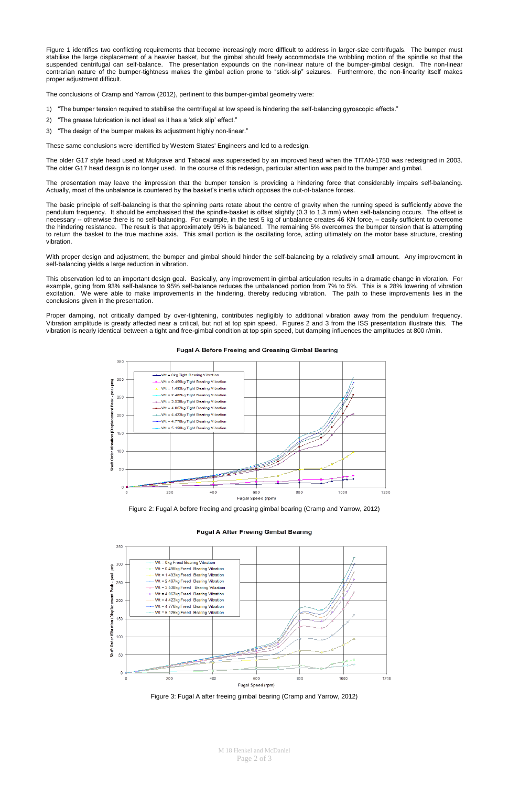M 18 Henkel and McDaniel Page 2 of 3

Figure 1 identifies two conflicting requirements that become increasingly more difficult to address in larger-size centrifugals. The bumper must stabilise the large displacement of a heavier basket, but the gimbal should freely accommodate the wobbling motion of the spindle so that the suspended centrifugal can self-balance. The presentation expounds on the non-linear nature of the bumper-gimbal design. The non-linear contrarian nature of the bumper-tightness makes the gimbal action prone to "stick-slip" seizures. Furthermore, the non-linearity itself makes proper adjustment difficult.

The conclusions of Cramp and Yarrow (2012), pertinent to this bumper-gimbal geometry were:

- 1) "The bumper tension required to stabilise the centrifugal at low speed is hindering the self-balancing gyroscopic effects."
- 2) "The grease lubrication is not ideal as it has a 'stick slip' effect."
- 3) "The design of the bumper makes its adjustment highly non-linear."

These same conclusions were identified by Western States' Engineers and led to a redesign.

The older G17 style head used at Mulgrave and Tabacal was superseded by an improved head when the TITAN-1750 was redesigned in 2003. The older G17 head design is no longer used. In the course of this redesign, particular attention was paid to the bumper and gimbal.

The presentation may leave the impression that the bumper tension is providing a hindering force that considerably impairs self-balancing. Actually, most of the unbalance is countered by the basket's inertia which opposes the out-of-balance forces.

The basic principle of self-balancing is that the spinning parts rotate about the centre of gravity when the running speed is sufficiently above the pendulum frequency. It should be emphasised that the spindle-basket is offset slightly (0.3 to 1.3 mm) when self-balancing occurs. The offset is necessary -- otherwise there is no self-balancing. For example, in the test 5 kg of unbalance creates 46 KN force, – easily sufficient to overcome the hindering resistance. The result is that approximately 95% is balanced. The remaining 5% overcomes the bumper tension that is attempting to return the basket to the true machine axis. This small portion is the oscillating force, acting ultimately on the motor base structure, creating vibration.

With proper design and adjustment, the bumper and gimbal should hinder the self-balancing by a relatively small amount. Any improvement in self-balancing yields a large reduction in vibration.

This observation led to an important design goal. Basically, any improvement in gimbal articulation results in a dramatic change in vibration. For example, going from 93% self-balance to 95% self-balance reduces the unbalanced portion from 7% to 5%. This is a 28% lowering of vibration excitation. We were able to make improvements in the hindering, thereby reducing vibration. The path to these improvements lies in the conclusions given in the presentation.

Proper damping, not critically damped by over-tightening, contributes negligibly to additional vibration away from the pendulum frequency. Vibration amplitude is greatly affected near a critical, but not at top spin speed. Figures 2 and 3 from the ISS presentation illustrate this. The vibration is nearly identical between a tight and free-gimbal condition at top spin speed, but damping influences the amplitudes at 800 r/min.



# **Fugal A Before Freeing and Greasing Gimbal Bearing**

Figure 2: Fugal A before freeing and greasing gimbal bearing (Cramp and Yarrow, 2012)

#### **Fugal A After Freeing Gimbal Bearing**



Figure 3: Fugal A after freeing gimbal bearing (Cramp and Yarrow, 2012)